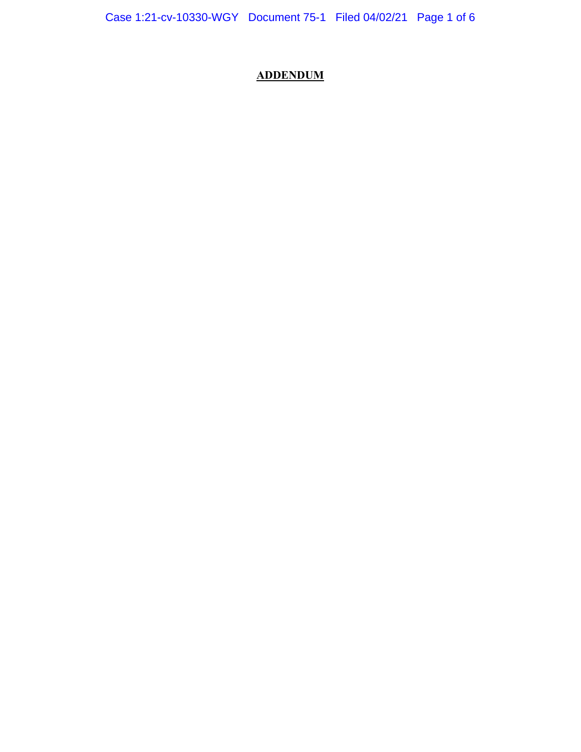# **ADDENDUM**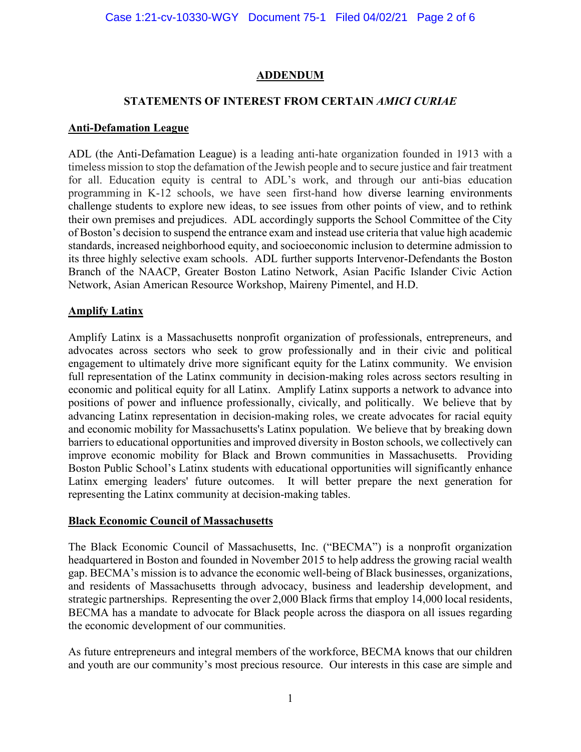# **ADDENDUM**

## **STATEMENTS OF INTEREST FROM CERTAIN** *AMICI CURIAE*

#### **Anti-Defamation League**

ADL (the Anti-Defamation League) is a leading anti-hate organization founded in 1913 with a timeless mission to stop the defamation of the Jewish people and to secure justice and fair treatment for all. Education equity is central to ADL's work, and through our anti-bias education programming in K-12 schools, we have seen first-hand how diverse learning environments challenge students to explore new ideas, to see issues from other points of view, and to rethink their own premises and prejudices. ADL accordingly supports the School Committee of the City of Boston's decision to suspend the entrance exam and instead use criteria that value high academic standards, increased neighborhood equity, and socioeconomic inclusion to determine admission to its three highly selective exam schools. ADL further supports Intervenor-Defendants the Boston Branch of the NAACP, Greater Boston Latino Network, Asian Pacific Islander Civic Action Network, Asian American Resource Workshop, Maireny Pimentel, and H.D.

#### **Amplify Latinx**

Amplify Latinx is a Massachusetts nonprofit organization of professionals, entrepreneurs, and advocates across sectors who seek to grow professionally and in their civic and political engagement to ultimately drive more significant equity for the Latinx community. We envision full representation of the Latinx community in decision-making roles across sectors resulting in economic and political equity for all Latinx. Amplify Latinx supports a network to advance into positions of power and influence professionally, civically, and politically. We believe that by advancing Latinx representation in decision-making roles, we create advocates for racial equity and economic mobility for Massachusetts's Latinx population. We believe that by breaking down barriers to educational opportunities and improved diversity in Boston schools, we collectively can improve economic mobility for Black and Brown communities in Massachusetts. Providing Boston Public School's Latinx students with educational opportunities will significantly enhance Latinx emerging leaders' future outcomes. It will better prepare the next generation for representing the Latinx community at decision-making tables.

#### **Black Economic Council of Massachusetts**

The Black Economic Council of Massachusetts, Inc. ("BECMA") is a nonprofit organization headquartered in Boston and founded in November 2015 to help address the growing racial wealth gap. BECMA's mission is to advance the economic well-being of Black businesses, organizations, and residents of Massachusetts through advocacy, business and leadership development, and strategic partnerships. Representing the over 2,000 Black firms that employ 14,000 local residents, BECMA has a mandate to advocate for Black people across the diaspora on all issues regarding the economic development of our communities.

As future entrepreneurs and integral members of the workforce, BECMA knows that our children and youth are our community's most precious resource. Our interests in this case are simple and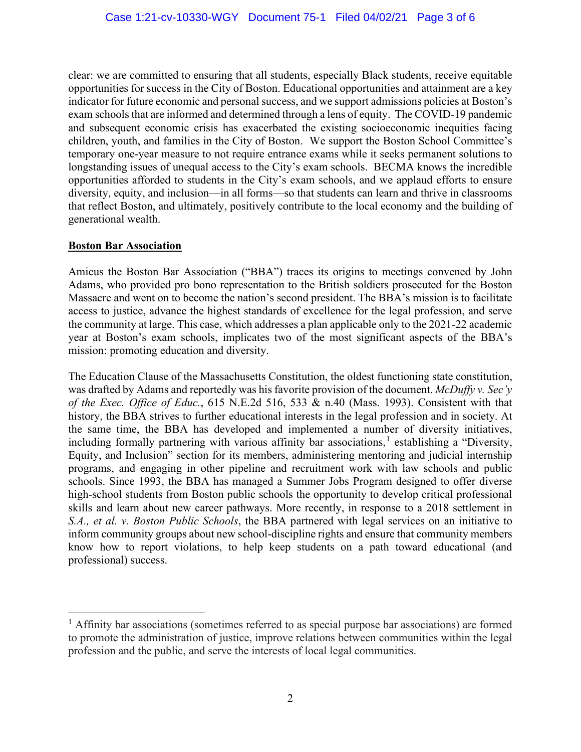clear: we are committed to ensuring that all students, especially Black students, receive equitable opportunities for success in the City of Boston. Educational opportunities and attainment are a key indicator for future economic and personal success, and we support admissions policies at Boston's exam schools that are informed and determined through a lens of equity. The COVID-19 pandemic and subsequent economic crisis has exacerbated the existing socioeconomic inequities facing children, youth, and families in the City of Boston. We support the Boston School Committee's temporary one-year measure to not require entrance exams while it seeks permanent solutions to longstanding issues of unequal access to the City's exam schools. BECMA knows the incredible opportunities afforded to students in the City's exam schools, and we applaud efforts to ensure diversity, equity, and inclusion—in all forms—so that students can learn and thrive in classrooms that reflect Boston, and ultimately, positively contribute to the local economy and the building of generational wealth.

## **Boston Bar Association**

Amicus the Boston Bar Association ("BBA") traces its origins to meetings convened by John Adams, who provided pro bono representation to the British soldiers prosecuted for the Boston Massacre and went on to become the nation's second president. The BBA's mission is to facilitate access to justice, advance the highest standards of excellence for the legal profession, and serve the community at large. This case, which addresses a plan applicable only to the 2021-22 academic year at Boston's exam schools, implicates two of the most significant aspects of the BBA's mission: promoting education and diversity.

The Education Clause of the Massachusetts Constitution, the oldest functioning state constitution, was drafted by Adams and reportedly was his favorite provision of the document. *McDuffy v. Sec'y of the Exec. Office of Educ.*, 615 N.E.2d 516, 533 & n.40 (Mass. 1993). Consistent with that history, the BBA strives to further educational interests in the legal profession and in society. At the same time, the BBA has developed and implemented a number of diversity initiatives, including formally partnering with various affinity bar associations,<sup>[1](#page-2-0)</sup> establishing a "Diversity, Equity, and Inclusion" section for its members, administering mentoring and judicial internship programs, and engaging in other pipeline and recruitment work with law schools and public schools. Since 1993, the BBA has managed a Summer Jobs Program designed to offer diverse high-school students from Boston public schools the opportunity to develop critical professional skills and learn about new career pathways. More recently, in response to a 2018 settlement in *S.A., et al. v. Boston Public Schools*, the BBA partnered with legal services on an initiative to inform community groups about new school-discipline rights and ensure that community members know how to report violations, to help keep students on a path toward educational (and professional) success.

<span id="page-2-0"></span><sup>&</sup>lt;sup>1</sup> Affinity bar associations (sometimes referred to as special purpose bar associations) are formed to promote the administration of justice, improve relations between communities within the legal profession and the public, and serve the interests of local legal communities.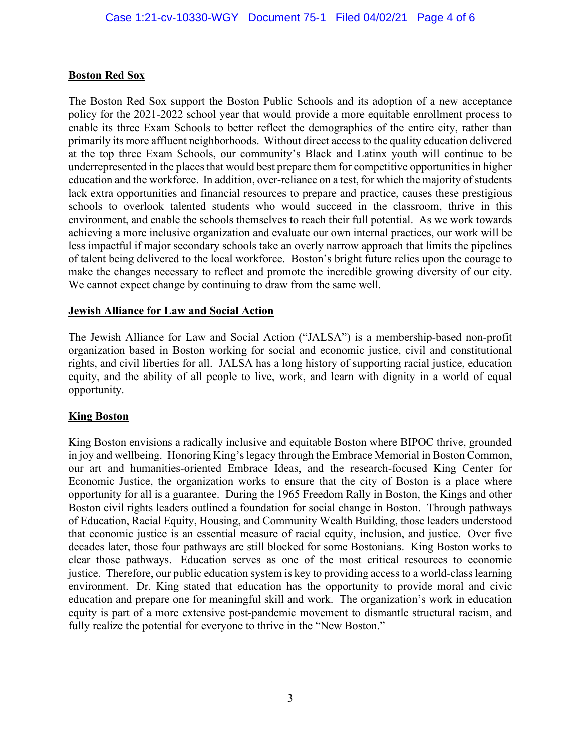#### **Boston Red Sox**

The Boston Red Sox support the Boston Public Schools and its adoption of a new acceptance policy for the 2021-2022 school year that would provide a more equitable enrollment process to enable its three Exam Schools to better reflect the demographics of the entire city, rather than primarily its more affluent neighborhoods. Without direct access to the quality education delivered at the top three Exam Schools, our community's Black and Latinx youth will continue to be underrepresented in the places that would best prepare them for competitive opportunities in higher education and the workforce. In addition, over-reliance on a test, for which the majority of students lack extra opportunities and financial resources to prepare and practice, causes these prestigious schools to overlook talented students who would succeed in the classroom, thrive in this environment, and enable the schools themselves to reach their full potential. As we work towards achieving a more inclusive organization and evaluate our own internal practices, our work will be less impactful if major secondary schools take an overly narrow approach that limits the pipelines of talent being delivered to the local workforce. Boston's bright future relies upon the courage to make the changes necessary to reflect and promote the incredible growing diversity of our city. We cannot expect change by continuing to draw from the same well.

#### **Jewish Alliance for Law and Social Action**

The Jewish Alliance for Law and Social Action ("JALSA") is a membership-based non-profit organization based in Boston working for social and economic justice, civil and constitutional rights, and civil liberties for all. JALSA has a long history of supporting racial justice, education equity, and the ability of all people to live, work, and learn with dignity in a world of equal opportunity.

#### **King Boston**

King Boston envisions a radically inclusive and equitable Boston where BIPOC thrive, grounded in joy and wellbeing. Honoring King's legacy through the Embrace Memorial in Boston Common, our art and humanities-oriented Embrace Ideas, and the research-focused King Center for Economic Justice, the organization works to ensure that the city of Boston is a place where opportunity for all is a guarantee. During the 1965 Freedom Rally in Boston, the Kings and other Boston civil rights leaders outlined a foundation for social change in Boston. Through pathways of Education, Racial Equity, Housing, and Community Wealth Building, those leaders understood that economic justice is an essential measure of racial equity, inclusion, and justice. Over five decades later, those four pathways are still blocked for some Bostonians. King Boston works to clear those pathways. Education serves as one of the most critical resources to economic justice. Therefore, our public education system is key to providing access to a world-class learning environment. Dr. King stated that education has the opportunity to provide moral and civic education and prepare one for meaningful skill and work. The organization's work in education equity is part of a more extensive post-pandemic movement to dismantle structural racism, and fully realize the potential for everyone to thrive in the "New Boston."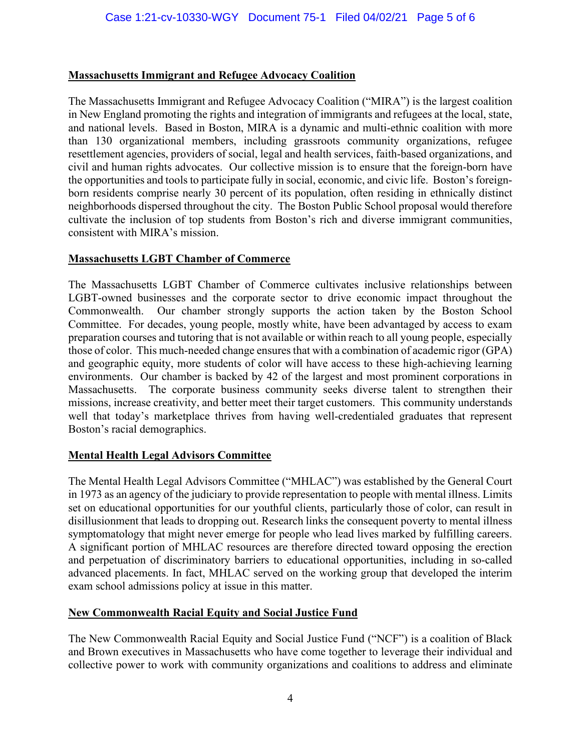## **Massachusetts Immigrant and Refugee Advocacy Coalition**

The Massachusetts Immigrant and Refugee Advocacy Coalition ("MIRA") is the largest coalition in New England promoting the rights and integration of immigrants and refugees at the local, state, and national levels. Based in Boston, MIRA is a dynamic and multi-ethnic coalition with more than 130 organizational members, including grassroots community organizations, refugee resettlement agencies, providers of social, legal and health services, faith-based organizations, and civil and human rights advocates. Our collective mission is to ensure that the foreign-born have the opportunities and tools to participate fully in social, economic, and civic life. Boston's foreignborn residents comprise nearly 30 percent of its population, often residing in ethnically distinct neighborhoods dispersed throughout the city. The Boston Public School proposal would therefore cultivate the inclusion of top students from Boston's rich and diverse immigrant communities, consistent with MIRA's mission.

# **Massachusetts LGBT Chamber of Commerce**

The Massachusetts LGBT Chamber of Commerce cultivates inclusive relationships between LGBT-owned businesses and the corporate sector to drive economic impact throughout the Commonwealth. Our chamber strongly supports the action taken by the Boston School Committee. For decades, young people, mostly white, have been advantaged by access to exam preparation courses and tutoring that is not available or within reach to all young people, especially those of color. This much-needed change ensures that with a combination of academic rigor (GPA) and geographic equity, more students of color will have access to these high-achieving learning environments. Our chamber is backed by 42 of the largest and most prominent corporations in Massachusetts. The corporate business community seeks diverse talent to strengthen their missions, increase creativity, and better meet their target customers. This community understands well that today's marketplace thrives from having well-credentialed graduates that represent Boston's racial demographics.

#### **Mental Health Legal Advisors Committee**

The Mental Health Legal Advisors Committee ("MHLAC") was established by the General Court in 1973 as an agency of the judiciary to provide representation to people with mental illness. Limits set on educational opportunities for our youthful clients, particularly those of color, can result in disillusionment that leads to dropping out. Research links the consequent poverty to mental illness symptomatology that might never emerge for people who lead lives marked by fulfilling careers. A significant portion of MHLAC resources are therefore directed toward opposing the erection and perpetuation of discriminatory barriers to educational opportunities, including in so-called advanced placements. In fact, MHLAC served on the working group that developed the interim exam school admissions policy at issue in this matter.

#### **New Commonwealth Racial Equity and Social Justice Fund**

The New Commonwealth Racial Equity and Social Justice Fund ("NCF") is a coalition of Black and Brown executives in Massachusetts who have come together to leverage their individual and collective power to work with community organizations and coalitions to address and eliminate